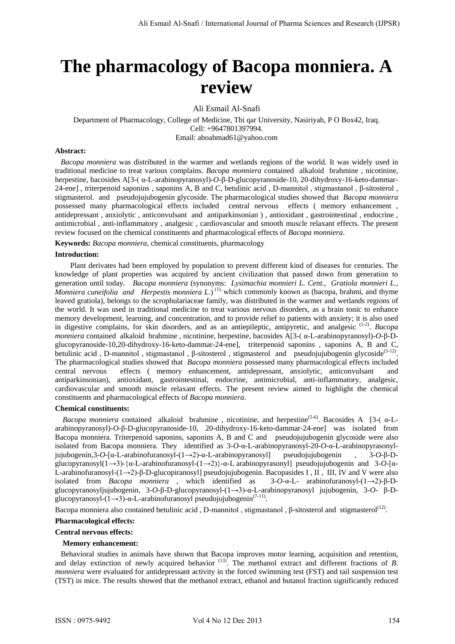# **The pharmacology of Bacopa monniera. A review**

Ali Esmail Al-Snafi

Department of Pharmacology, College of Medicine, Thi qar University, Nasiriyah, P O Box42, Iraq. Cell: +9647801397994. Email: aboahmad61@yahoo.com

## **Abstract:**

 *Bacopa monniera* was distributed in the warmer and wetlands regions of the world. It was widely used in traditional medicine to treat various complains. *Bacopa monniera* contained alkaloid brahmine , nicotinine, herpestine, bacosides A[3-( α-L-arabinopyranosyl)-*O*-β-D-glucopyranoside-10, 20-dihydroxy-16-keto-dammar-24-ene] , triterpenoid saponins , saponins A, B and C, betulinic acid , D-mannitol , stigmastanol , β-sitosterol , stigmasterol. and pseudojujubogenin glycoside. The pharmacological studies showed that *Bacopa monniera* possessed many pharmacological effects included central nervous effects ( memory enhancement , antidepressant , anxiolytic , anticonvulsant and antiparkinsonian ) , antioxidant , gastrointestinal , endocrine , antimicrobial , anti-inflammatory , analgesic , cardiovascular and smooth muscle relaxant effects. The present review focused on the chemical constituents and pharmacological effects of *Bacopa monniera*.

**Keywords:** *Bacopa monniera,* chemical constituents, pharmacology

# **Introduction:**

 Plant derivates had been employed by population to prevent different kind of diseases for centuries. The knowledge of plant properties was acquired by ancient civilization that passed down from generation to generation until today*. Bacopa monniera* (synonyms: *Lysimachia monnieri L. Cent., Gratiola monnieri L., Monniera cuneifolia and Herpestis monniera L.*)<sup>(1),</sup> which commonly known as (bacopa, brahmi, and thyme leaved gratiola), belongs to the scrophulariaceae family, was distributed in the warmer and wetlands regions of the world. It was used in traditional medicine to treat various nervous disorders, as a brain tonic to enhance memory development, learning, and concentration, and to provide relief to patients with anxiety; it is also used in digestive complains, for skin disorders, and as an antiepileptic, antipyretic, and analgesic (1-2). *Bacopa monniera* contained alkaloid brahmine , nicotinine, herpestine, bacosides A[3-( α-L-arabinopyranosyl)-*O*-β-Dglucopyranoside-10,20-dihydroxy-16-keto-dammar-24-ene], triterpenoid saponins , saponins A, B and C, betulinic acid, D-mannitol, stigmastanol, β-sitosterol, stigmasterol and pseudojujubogenin glycoside<sup>(5-12)</sup>. The pharmacological studies showed that *Bacopa monniera* possessed many pharmacological effects included central nervous effects ( memory enhancement, antidepressant, anxiolytic, anticonvulsant antiparkinsonian), antioxidant, gastrointestinal, endocrine, antimicrobial, anti-inflammatory, analgesic, cardiovascular and smooth muscle relaxant effects. The present review aimed to highlight the chemical constituents and pharmacological effects of *Bacopa monniera*.

#### **Chemical constituents:**

*Bacopa monniera* contained alkaloid brahmine, nicotinine, and herpestine<sup>(5-6)</sup>. Bacosides A [3-(α-Larabinopyranosyl)-*O*-β-D-glucopyranoside-10, 20-dihydroxy-16-keto-dammar-24-ene] was isolated from Bacopa monniera. Triterpenoid saponins, saponins A, B and C and pseudojujubogenin glycoside were also isolated from Bacopa monniera. They identified as 3-*O*-α-L-arabinopyranosyl-20-*O*-α-L-arabinopyrasonyljujubogenin,3-*O*-[α-L-arabinofuranosyl-(1→2)-α-L-arabinopyranosyl] pseudojujubogenin , 3-*O*-β-Dglucopyranosyl(1→3)-{α-L-arabinofuranosyl-(1→2)}-α-L arabinopyrasonyl] pseudojujubogenin and 3-*O*-[α-L-arabinofuranosyl-(1→2)-β-D-glucopiranosyl] pseudojujubogenin. Bacopasides I , II , III, IV and V were also isolated from *Bacopa monniera* , which identified as 3-*O*-α-L- arabinofuranosyl-(1→2)-β-Dglucopyranosyljujubogenin, 3-*O*-β-D-glucopyranosyl-(1→3)-α-L-arabinopyranosyl jujubogenin, 3-*O*- β-Dglucopyranosyl- $(1\rightarrow 3)$ -α-L-arabinofuranosyl pseudojujubogenin<sup>(7-11)</sup>.

glucopyranosyl-(1→3)-α-L-arabinofuranosyl pseudojujubogenin<sup>(1-11)</sup>.<br>Bacopa monniera also contained betulinic acid , D-mannitol , stigmastanol , β-sitosterol and stigmasterol<sup>(12)</sup>.

## **Pharmacological effects:**

## **Central nervous effects:**

#### **Memory enhancement:**

 Behavioral studies in animals have shown that Bacopa improves motor learning, acquisition and retention, and delay extinction of newly acquired behavior <sup>(13)</sup>. The methanol extract and different fractions of *B*. *monniera* were evaluated for antidepressant activity in the forced swimming test (FST) and tail suspension test (TST) in mice. The results showed that the methanol extract, ethanol and butanol fraction significantly reduced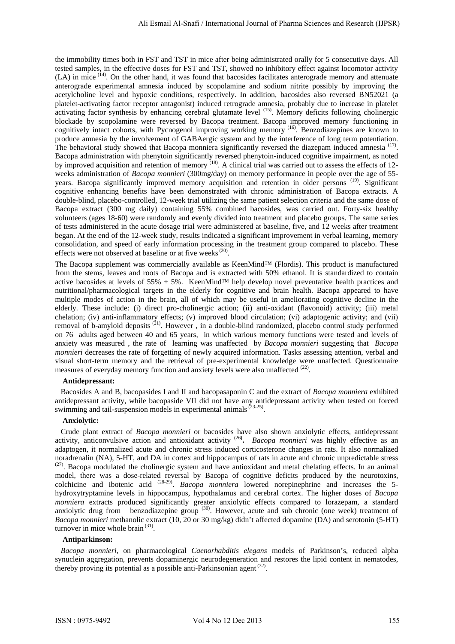the immobility times both in FST and TST in mice after being administrated orally for 5 consecutive days. All tested samples, in the effective doses for FST and TST, showed no inhibitory effect against locomotor activity (LA) in mice <sup>(14)</sup>. On the other hand, it was found that bacosides facilitates anterograde memory and attenuate anterograde experimental amnesia induced by scopolamine and sodium nitrite possibly by improving the acetylcholine level and hypoxic conditions, respectively. In addition, bacosides also reversed BN52021 (a platelet-activating factor receptor antagonist) induced retrograde amnesia, probably due to increase in platelet activating factor synthesis by enhancing cerebral glutamate level <sup>(15)</sup>. Memory deficits following cholinergic blockade by scopolamine were reversed by Bacopa treatment. Bacopa improved memory functioning in cognitively intact cohorts, with Pycnogenol improving working memory (16). Benzodiazepines are known to produce amnesia by the involvement of GABAergic system and by the interference of long term potentiation. The behavioral study showed that Bacopa monniera significantly reversed the diazepam induced amnesia<sup>(17)</sup>. Bacopa administration with phenytoin significantly reversed phenytoin-induced cognitive impairment, as noted by improved acquisition and retention of memory (18). A clinical trial was carried out to assess the effects of 12 weeks administration of *Bacopa monnieri* (300mg/day) on memory performance in people over the age of 55 years. Bacopa significantly improved memory acquisition and retention in older persons (19). Significant cognitive enhancing benefits have been demonstrated with chronic administration of Bacopa extracts. A double-blind, placebo-controlled, 12-week trial utilizing the same patient selection criteria and the same dose of Bacopa extract (300 mg daily) containing 55% combined bacosides, was carried out. Forty-six healthy volunteers (ages 18-60) were randomly and evenly divided into treatment and placebo groups. The same series of tests administered in the acute dosage trial were administered at baseline, five, and 12 weeks after treatment began. At the end of the 12-week study, results indicated a significant improvement in verbal learning, memory consolidation, and speed of early information processing in the treatment group compared to placebo. These effects were not observed at baseline or at five weeks  $(20)$ .

The Bacopa supplement was commercially available as KeenMind™ (Flordis). This product is manufactured from the stems, leaves and roots of Bacopa and is extracted with 50% ethanol. It is standardized to contain active bacosides at levels of 55%  $\pm$  5%. KeenMind<sup>™</sup> help develop novel preventative health practices and nutritional/pharmacological targets in the elderly for cognitive and brain health. Bacopa appeared to have multiple modes of action in the brain, all of which may be useful in ameliorating cognitive decline in the elderly. These include: (i) direct pro-cholinergic action; (ii) anti-oxidant (flavonoid) activity; (iii) metal chelation; (iv) anti-inflammatory effects; (v) improved blood circulation; (vi) adaptogenic activity; and (vii) removal of b-amyloid deposits<sup>(21)</sup>. However, in a double-blind randomized, placebo control study performed on 76 adults aged between 40 and 65 years, in which various memory functions were tested and levels of anxiety was measured , the rate of learning was unaffected by *Bacopa monnieri* suggesting that *Bacopa monnieri* decreases the rate of forgetting of newly acquired information. Tasks assessing attention, verbal and visual short-term memory and the retrieval of pre-experimental knowledge were unaffected. Questionnaire measures of everyday memory function and anxiety levels were also unaffected  $(22)$ .

# **Antidepressant:**

 Bacosides A and B, bacopasides I and II and bacopasaponin C and the extract of *Bacopa monniera* exhibited antidepressant activity, while bacopaside VII did not have any antidepressant activity when tested on forced swimming and tail-suspension models in experimental animals<sup>(23-25)</sup>.

# **Anxiolytic:**

 Crude plant extract of *Bacopa monnieri* or bacosides have also shown anxiolytic effects, antidepressant activity, anticonvulsive action and antioxidant activity<sup>(26)</sup>. *Bacopa monnieri* was highly effective as an adaptogen, it normalized acute and chronic stress induced corticosterone changes in rats. It also normalized noradrenalin (NA), 5-HT, and DA in cortex and hippocampus of rats in acute and chronic unpredictable stress (27). Bacopa modulated the cholinergic system and have antioxidant and metal chelating effects. In an animal model, there was a dose-related reversal by Bacopa of cognitive deficits produced by the neurotoxins, colchicine and ibotenic acid <sup>(28-29)</sup>. *Bacopa monniera* lowered norepinephrine and increases the 5hydroxytryptamine levels in hippocampus, hypothalamus and cerebral cortex. The higher doses of *Bacopa monniera* extracts produced significantly greater anxiolytic effects compared to lorazepam, a standard anxiolytic drug from benzodiazepine group <sup>(30)</sup>. However, acute and sub chronic (one week) treatment of *Bacopa monnieri* methanolic extract (10, 20 or 30 mg/kg) didn't affected dopamine (DA) and serotonin (5-HT) turnover in mice whole brain<sup>(31)</sup>.

## **Antiparkinson:**

 *Bacopa monnieri*, on pharmacological *Caenorhabditis elegans* models of Parkinson's, reduced alpha synuclein aggregation, prevents dopaminergic neurodegeneration and restores the lipid content in nematodes, thereby proving its potential as a possible anti-Parkinsonian agent<sup>(32)</sup>.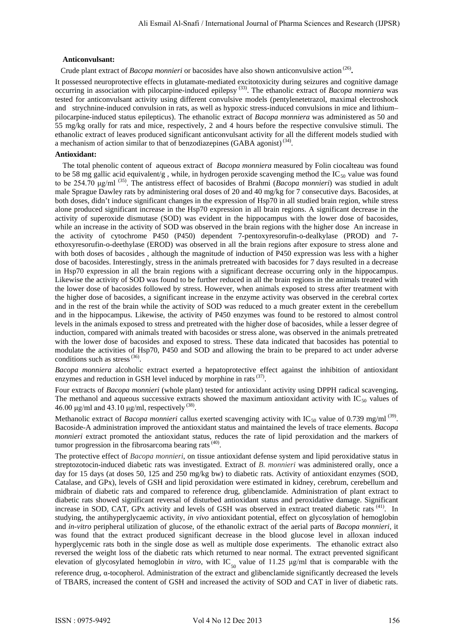## **Anticonvulsant:**

Crude plant extract of *Bacopa monnieri* or bacosides have also shown anticonvulsive action<sup>(26)</sup>.

It possessed neuroprotective effects in glutamate-mediated excitotoxicity during seizures and cognitive damage occurring in association with pilocarpine-induced epilepsy<sup>(33)</sup>. The ethanolic extract of *Bacopa monniera* was tested for anticonvulsant activity using different convulsive models (pentylenetetrazol, maximal electroshock and strychnine-induced convulsion in rats, as well as hypoxic stress-induced convulsions in mice and lithium– pilocarpine-induced status epilepticus). The ethanolic extract of *Bacopa monniera* was administered as 50 and 55 mg/kg orally for rats and mice, respectively, 2 and 4 hours before the respective convulsive stimuli. The ethanolic extract of leaves produced significant anticonvulsant activity for all the different models studied with a mechanism of action similar to that of benzodiazepines (GABA agonist)<sup>(34)</sup>.

## **Antioxidant:**

 The total phenolic content of aqueous extract of *Bacopa monniera* measured by Folin ciocalteau was found to be 58 mg gallic acid equivalent/g, while, in hydrogen peroxide scavenging method the IC<sub>50</sub> value was found to be 254.70 μg/ml (35). The antistress effect of bacosides of Brahmi (*Bacopa monnieri*) was studied in adult male Sprague Dawley rats by administering oral doses of 20 and 40 mg/kg for 7 consecutive days. Bacosides, at both doses, didn't induce significant changes in the expression of Hsp70 in all studied brain region, while stress alone produced significant increase in the Hsp70 expression in all brain regions. A significant decrease in the activity of superoxide dismutase (SOD) was evident in the hippocampus with the lower dose of bacosides, while an increase in the activity of SOD was observed in the brain regions with the higher dose An increase in the activity of cytochrome P450 (P450) dependent 7-pentoxyresorufin-o-dealkylase (PROD) and 7 ethoxyresorufin-o-deethylase (EROD) was observed in all the brain regions after exposure to stress alone and with both doses of bacosides, although the magnitude of induction of P450 expression was less with a higher dose of bacosides. Interestingly, stress in the animals pretreated with bacosides for 7 days resulted in a decrease in Hsp70 expression in all the brain regions with a significant decrease occurring only in the hippocampus. Likewise the activity of SOD was found to be further reduced in all the brain regions in the animals treated with the lower dose of bacosides followed by stress. However, when animals exposed to stress after treatment with the higher dose of bacosides, a significant increase in the enzyme activity was observed in the cerebral cortex and in the rest of the brain while the activity of SOD was reduced to a much greater extent in the cerebellum and in the hippocampus. Likewise, the activity of P450 enzymes was found to be restored to almost control levels in the animals exposed to stress and pretreated with the higher dose of bacosides, while a lesser degree of induction, compared with animals treated with bacosides or stress alone, was observed in the animals pretreated with the lower dose of bacosides and exposed to stress. These data indicated that bacosides has potential to modulate the activities of Hsp70, P450 and SOD and allowing the brain to be prepared to act under adverse conditions such as stress<sup>(36)</sup>.

*Bacopa monniera* alcoholic extract exerted a hepatoprotective effect against the inhibition of antioxidant enzymes and reduction in GSH level induced by morphine in rats (37).

Four extracts of *Bacopa monnieri* (whole plant) tested for antioxidant activity using DPPH radical scavenging**.**  The methanol and aqueous successive extracts showed the maximum antioxidant activity with  $IC_{50}$  values of 46.00 μg/ml and 43.10 μg/ml, respectively  $(38)$ .

Methanolic extract of *Bacopa monnieri* callus exerted scavenging activity with IC<sub>50</sub> value of 0.739 mg/ml<sup>(39)</sup>. Bacoside-A administration improved the antioxidant status and maintained the levels of trace elements. *Bacopa monnieri* extract promoted the antioxidant status, reduces the rate of lipid peroxidation and the markers of tumor progression in the fibrosarcoma bearing rats<sup>(40)</sup>.

The protective effect of *Bacopa monnieri*, on tissue antioxidant defense system and lipid peroxidative status in streptozotocin-induced diabetic rats was investigated. Extract of *B. monnieri* was administered orally, once a day for 15 days (at doses 50, 125 and 250 mg/kg bw) to diabetic rats. Activity of antioxidant enzymes (SOD, Catalase, and GPx), levels of GSH and lipid peroxidation were estimated in kidney, cerebrum, cerebellum and midbrain of diabetic rats and compared to reference drug, glibenclamide. Administration of plant extract to diabetic rats showed significant reversal of disturbed antioxidant status and peroxidative damage. Significant increase in SOD, CAT, GPx activity and levels of GSH was observed in extract treated diabetic rats <sup>(41)</sup>. In studying, the antihyperglycaemic activity, *in vivo* antioxidant potential, effect on glycosylation of hemoglobin and *in-vitro* peripheral utilization of glucose, of the ethanolic extract of the aerial parts of *Bacopa monnieri*, it was found that the extract produced significant decrease in the blood glucose level in alloxan induced hyperglycemic rats both in the single dose as well as multiple dose experiments. The ethanolic extract also reversed the weight loss of the diabetic rats which returned to near normal. The extract prevented significant elevation of glycosylated hemoglobin *in vitro*, with IC<sub>50</sub> value of 11.25  $\mu$ g/ml that is comparable with the reference drug,  $α$ -tocopherol. Administration of the extract and glibenclamide significantly decreased the levels of TBARS, increased the content of GSH and increased the activity of SOD and CAT in liver of diabetic rats.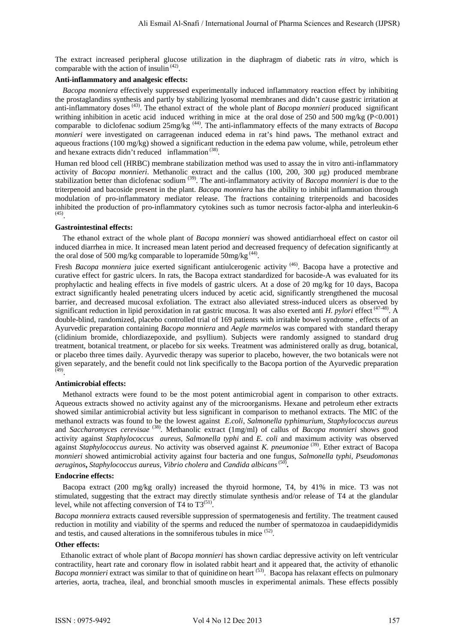The extract increased peripheral glucose utilization in the diaphragm of diabetic rats *in vitro*, which is comparable with the action of insulin  $(42)$ .

# **Anti-inflammatory and analgesic effects:**

 *Bacopa monniera* effectively suppressed experimentally induced inflammatory reaction effect by inhibiting the prostaglandins synthesis and partly by stabilizing lyosomal membranes and didn't cause gastric irritation at anti-inflammatory doses (43). The ethanol extract of the whole plant of *Bacopa monnieri* produced significant writhing inhibition in acetic acid induced writhing in mice at the oral dose of 250 and 500 mg/kg (P<0.001) comparable to diclofenac sodium 25mg/kg (44). The anti-inflammatory effects of the many extracts of *Bacopa monnieri* were investigated on carrageenan induced edema in rat's hind paws**.** The methanol extract and aqueous fractions (100 mg/kg) showed a significant reduction in the edema paw volume, while, petroleum ether and hexane extracts didn't reduced inflammation<sup>(38)</sup>.

Human red blood cell (HRBC) membrane stabilization method was used to assay the in vitro anti-inflammatory activity of *Bacopa monnieri*. Methanolic extract and the callus (100, 200, 300 μg) produced membrane stabilization better than diclofenac sodium<sup>(39)</sup>. The anti-inflammatory activity of *Bacopa monnieri* is due to the triterpenoid and bacoside present in the plant. *Bacopa monniera* has the ability to inhibit inflammation through modulation of pro-inflammatory mediator release. The fractions containing triterpenoids and bacosides inhibited the production of pro-inflammatory cytokines such as tumor necrosis factor-alpha and interleukin-6 (45) .

#### **Gastrointestinal effects:**

 The ethanol extract of the whole plant of *Bacopa monnieri* was showed antidiarrhoeal effect on castor oil induced diarrhea in mice. It increased mean latent period and decreased frequency of defecation significantly at the oral dose of 500 mg/kg comparable to loperamide  $50$ mg/kg<sup>(44)</sup>.

the oral dose of 500 mg/kg comparable to loperamide 50mg/kg<sup>(44)</sup>.<br>Fresh *Bacopa monniera* juice exerted significant antiulcerogenic activity <sup>(46)</sup>. Bacopa have a protective and curative effect for gastric ulcers. In rats, the Bacopa extract standardized for bacoside-A was evaluated for its prophylactic and healing effects in five models of gastric ulcers. At a dose of 20 mg/kg for 10 days, Bacopa extract significantly healed penetrating ulcers induced by acetic acid, significantly strengthened the mucosal barrier, and decreased mucosal exfoliation. The extract also alleviated stress-induced ulcers as observed by significant reduction in lipid peroxidation in rat gastric mucosa. It was also exerted anti *H. pylori* effect<sup>(47-48)</sup>. A double-blind, randomized, placebo controlled trial of 169 patients with irritable bowel syndrome , effects of an Ayurvedic preparation containing *Bacopa monniera* and *Aegle marmelos* was compared with standard therapy (clidinium bromide, chlordiazepoxide, and psyllium). Subjects were randomly assigned to standard drug treatment, botanical treatment, or placebo for six weeks. Treatment was administered orally as drug, botanical, or placebo three times daily. Ayurvedic therapy was superior to placebo, however, the two botanicals were not given separately, and the benefit could not link specifically to the Bacopa portion of the Ayurvedic preparation (49) .

## **Antimicrobial effects:**

 Methanol extracts were found to be the most potent antimicrobial agent in comparison to other extracts. Aqueous extracts showed no activity against any of the microorganisms. Hexane and petroleum ether extracts showed similar antimicrobial activity but less significant in comparison to methanol extracts. The MIC of the methanol extracts was found to be the lowest against *E.coli*, *Salmonella typhimurium*, *Staphylococcus aureus*  and *Saccharomyces cerevisae* (38). Methanolic extract (1mg/ml) of callus of *Bacopa monnieri* shows good activity against *Staphylococcus aureus*, *Salmonella typhi* and *E. coli* and maximum activity was observed against *Staphylococcus aureus*. No activity was observed against *K. pneumoniae* (39). Ether extract of Bacopa *monnieri* showed antimicrobial activity against four bacteria and one fungus, *Salmonella typhi, Pseudomonas aeruginos***,** *Staphylococcus aureus, Vibrio cholera* and *Candida albicans* (50) **.** 

#### **Endocrine effects:**

 Bacopa extract (200 mg/kg orally) increased the thyroid hormone, T4, by 41% in mice. T3 was not stimulated, suggesting that the extract may directly stimulate synthesis and/or release of T4 at the glandular level, while not affecting conversion of T4 to  $T3^{(51)}$ .

*Bacopa monniera* extracts caused reversible suppression of spermatogenesis and fertility. The treatment caused reduction in motility and viability of the sperms and reduced the number of spermatozoa in caudaepididymidis and testis, and caused alterations in the somniferous tubules in mice <sup>(52)</sup>.

#### **Other effects:**

 Ethanolic extract of whole plant of *Bacopa monnieri* has shown cardiac depressive activity on left ventricular contractility, heart rate and coronary flow in isolated rabbit heart and it appeared that, the activity of ethanolic *Bacopa monnieri* extract was similar to that of quinidine on heart <sup>(53)</sup>. Bacopa has relaxant effects on pulmonary arteries, aorta, trachea, ileal, and bronchial smooth muscles in experimental animals. These effects possibly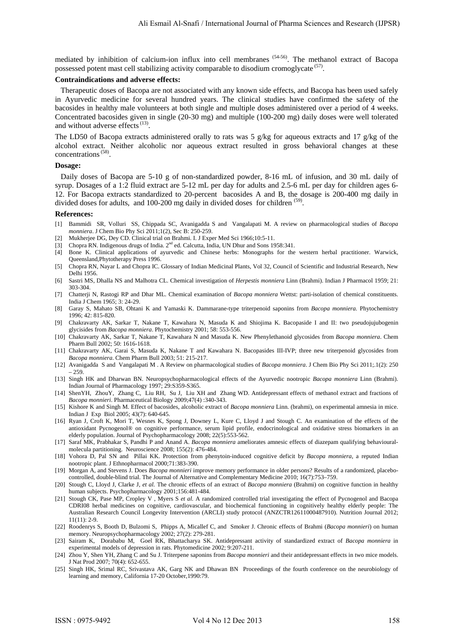mediated by inhibition of calcium-ion influx into cell membranes (54-56). The methanol extract of Bacopa possessed potent mast cell stabilizing activity comparable to disodium cromoglycate<sup>(57)</sup>.

## **Contraindications and adverse effects:**

 Therapeutic doses of Bacopa are not associated with any known side effects, and Bacopa has been used safely in Ayurvedic medicine for several hundred years. The clinical studies have confirmed the safety of the bacosides in healthy male volunteers at both single and multiple doses administered over a period of 4 weeks. Concentrated bacosides given in single (20-30 mg) and multiple (100-200 mg) daily doses were well tolerated and without adverse effects<sup>(13)</sup>.

The LD50 of Bacopa extracts administered orally to rats was 5 g/kg for aqueous extracts and 17 g/kg of the alcohol extract. Neither alcoholic nor aqueous extract resulted in gross behavioral changes at these concentrations<sup>(58)</sup>.

# **Dosage:**

 Daily doses of Bacopa are 5-10 g of non-standardized powder, 8-16 mL of infusion, and 30 mL daily of syrup. Dosages of a 1:2 fluid extract are 5-12 mL per day for adults and 2.5-6 mL per day for children ages 6- 12. For Bacopa extracts standardized to 20-percent bacosides A and B, the dosage is 200-400 mg daily in divided doses for adults, and 100-200 mg daily in divided doses for children<sup>(59)</sup>.

#### **References:**

- [1] Bammidi SR, Volluri SS, Chippada SC, Avanigadda S and Vangalapati M. A review on pharmacological studies of *Bacopa monniera*. J Chem Bio Phy Sci 2011;1(2), Sec B: 250-259.
- [2] Mukherjee DG, Dey CD. Clinical trial on Brahmi. I. J Exper Med Sci 1966;10:5-11.
- [3] Chopra RN. Indigenous drugs of India. 2<sup>nd</sup> ed. Calcutta, India, UN Dhur and Sons 1958:341.
- [4] Bone K. Clinical applications of ayurvedic and Chinese herbs: Monographs for the western herbal practitioner. Warwick, Queensland,Phytotherapy Press 1996.
- [5] Chopra RN, Nayar L and Chopra IC. Glossary of Indian Medicinal Plants, Vol 32, Council of Scientific and Industrial Research, New Delhi 1956.
- [6] Sastri MS, Dhalla NS and Malhotra CL. Chemical investigation of *Herpestis monniera* Linn (Brahmi). Indian J Pharmacol 1959; 21: 303-304.
- [7] Chatterji N, Rastogi RP and Dhar ML. Chemical examination of *Bacopa monniera* Wettst: parti-isolation of chemical constituents. India J Chem 1965; 3: 24-29.
- [8] Garay S, Mahato SB, Ohtani K and Yamaski K. Dammarane-type triterpenoid saponins from *Bacopa monniera.* Phytochemistry 1996; 42: 815-820.
- [9] Chakravarty AK, Sarkar T, Nakane T, Kawahara N, Masuda K and Shiojima K. Bacopaside I and II: two pseudojujubogenin glycisides from *Bacopa monniera*. Phytochemistry 2001; 58: 553-556.
- [10] Chakravarty AK, Sarkar T, Nakane T, Kawahara N and Masuda K. New Phenylethanoid glycosides from *Bacopa monniera*. Chem Pharm Bull 2002; 50: 1616-1618.
- [11] Chakravarty AK, Garai S, Masuda K, Nakane T and Kawahara N. Bacopasides III-IVP; three new triterpenoid glycosides from *Bacopa monniera*. Chem Pharm Bull 2003; 51: 215-217.
- [12] Avanigadda S and Vangalapati M . A Review on pharmacological studies of *Bacopa monniera*. J Chem Bio Phy Sci 2011;.1(2): 250 – 259.
- [13] Singh HK and Dharwan BN. Neuropsychopharmacological effects of the Ayurvedic nootropic *Bacopa monniera* Linn (Brahmi). Indian Journal of Pharmacology 1997; 29:S359-S365.
- [14] [ShenYH, ZhouY,](http://informahealthcare.com/action/doSearch?action=runSearch&type=advanced&result=true&prevSearch=%2Bauthorsfield%3A%28Shen%2C+Yun%5C-Heng%29) [Zhang C, Liu RH,](http://informahealthcare.com/action/doSearch?action=runSearch&type=advanced&result=true&prevSearch=%2Bauthorsfield%3A%28Zhang%2C+Chuan%29) [Su J, Liu XH and](http://informahealthcare.com/action/doSearch?action=runSearch&type=advanced&result=true&prevSearch=%2Bauthorsfield%3A%28Su%2C+Juan%29) [Zhang](http://informahealthcare.com/action/doSearch?action=runSearch&type=advanced&result=true&prevSearch=%2Bauthorsfield%3A%28Zhang%2C+Wei%5C-Dong%29) WD. Antidepressant effects of methanol extract and fractions of *Bacopa monnieri*. Pharmaceutical Biology 2009;47(4) :340-343.
- [15] Kishore K and Singh M. Effect of bacosides, alcoholic extract of *Bacopa monniera* Linn. (brahmi), on experimental amnesia in mice. Indian J Exp Biol 2005; 43(7): 640-645.
- [16] Ryan J, Croft K, Mori T, Wesnes K, Spong J, Downey L, Kure C, Lloyd J and Stough C. An examination of the effects of the antioxidant Pycnogenol® on cognitive performance, serum lipid profile, endocrinological and oxidative stress biomarkers in an elderly population. Journal of Psychopharmacology 2008; 22(5):553-562.
- [17] Saraf MK, Prabhakar S, Pandhi P and Anand A. *Bacopa monniera* ameliorates amnesic effects of diazepam qualifying behaviouralmolecula partitioning. Neuroscience 2008; 155(2): 476-484.
- [18] Vohora D, Pal SN and Pillai KK. Protection from phenytoin-induced cognitive deficit by *Bacopa monniera*, a reputed Indian nootropic plant. J Ethnopharmacol 2000;71:383-390.
- [19] Morgan A, and Stevens J. Does *Bacopa monnieri* improve memory performance in older persons? Results of a randomized, placebocontrolled, double-blind trial. The Journal of Alternative and Complementary Medicine 2010; 16(7):753–759.
- [20] Stough C, Lloyd J, Clarke J, *et al.* The chronic effects of an extract of *Bacopa monniera* (Brahmi) on cognitive function in healthy human subjects. Psychopharmacology 2001;156:481-484.
- [21] Stough CK, Pase MP, Cropley V , Myers S *et al.* A randomized controlled trial investigating the effect of Pycnogenol and Bacopa CDRI08 herbal medicines on cognitive, cardiovascular, and biochemical functioning in cognitively healthy elderly people: The Australian Research Council Longevity Intervention (ARCLI) study protocol (ANZCTR12611000487910). Nutrition Journal 2012; 11(11): 2-9.
- [22] Roodenrys S, Booth D, Bulzomi S, Phipps A, Micallef C, and Smoker J. Chronic effects of Brahmi (*Bacopa monnieri*) on human memory. Neuropsychopharmacology 2002; 27(2): 279-281.
- [23] Sairam K, Dorababu M, Goel RK, Bhattacharya SK. Antidepressant activity of standardized extract of *Bacopa monniera* in experimental models of depression in rats. Phytomedicine 2002; 9:207-211.
- [24] Zhou Y, Shen YH, Zhang C and Su J. Triterpene saponins from *Bacopa monnieri* and their antidepressant effects in two mice models. J Nat Prod 2007; 70(4): 652-655.
- [25] Singh HK, Srimal RC, Srivastava AK, Garg NK and Dhawan BN Proceedings of the fourth conference on the neurobiology of learning and memory, California 17-20 October,1990:79.